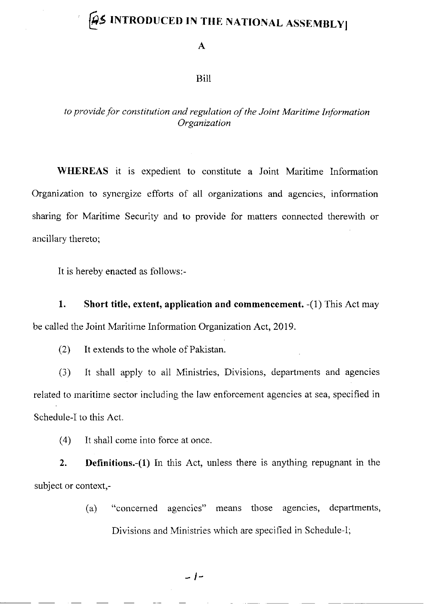# $\beta$ \$ INTRODUCED IN THE NATIONAL ASSEMBLY

A

### Bill

## to provide for constitution and regulation of the Joint Maritime Information Organization

WHEREAS it is expedient to constitute a Joint Maritime Information Organization to synergize efforts of all organizations and agencies, information sharing for Maritime Security and to provide for mafters connected therewith or ancillary thereto;

It is hereby enacted as follows:-

1. Short title, extent, application and commencement. -(1) This Act may be called the Joint Maritime Information Organization Act, 2019.

(2) It extends to the whole of Pakistan.

(3) It shall apply to all Ministries, Divisions, departments and agencies related to maritime sector including the law enforcement agencies at sea, specified in Schedule-I to this Act.

(4) It sha1l come into force at once.

2. Definitions.-(1) In this Act, unless there is anything repugnant in the subject or context,-

> (a) "concerned agencies" means those agencies, departments, Divisions and Ministries which are specified in Schedule-l;

> > $-1-$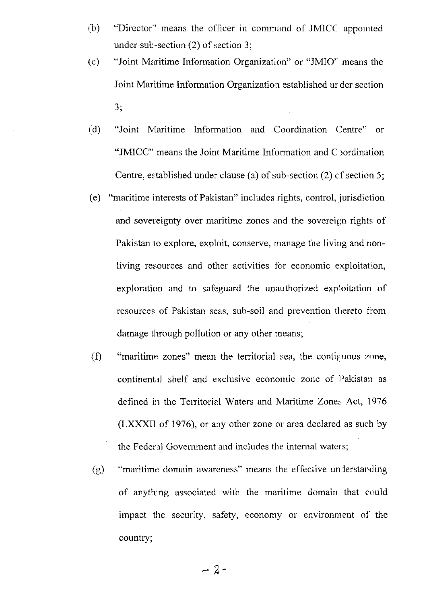- "Director" means the officer in command of JMICC appointed  $(b)$ under sub-section  $(2)$  of section 3;
- "Joint Maritime Information Organization" or "JMIO" means the  $(c)$ Joint Maritime Information Organization established under section  $3;$
- "Joint Maritime Information and Coordination Centre" or  $(d)$ "JMICC" means the Joint Maritime Information and C pordination Centre, established under clause (a) of sub-section (2) of section 5;
- (e) "maritime interests of Pakistan" includes rights, control, jurisdiction and sovereignty over maritime zones and the sovereign rights of Pakistan to explore, exploit, conserve, manage the living and nonliving resources and other activities for economic exploitation, exploration and to safeguard the unauthorized exploitation of resources of Pakistan seas, sub-soil and prevention thereto from damage through pollution or any other means;
- $(f)$ "maritime zones" mean the territorial sea, the contiguous zone, continental shelf and exclusive economic zone of Pakistan as defined in the Territorial Waters and Maritime Zones Act, 1976 (LXXXII of 1976), or any other zone or area declared as such by the Federal Government and includes the internal waters;
- "maritime domain awareness" means the effective understanding  $(g)$ of anything associated with the maritime domain that could impact the security, safety, economy or environment of the country;

 $-2-$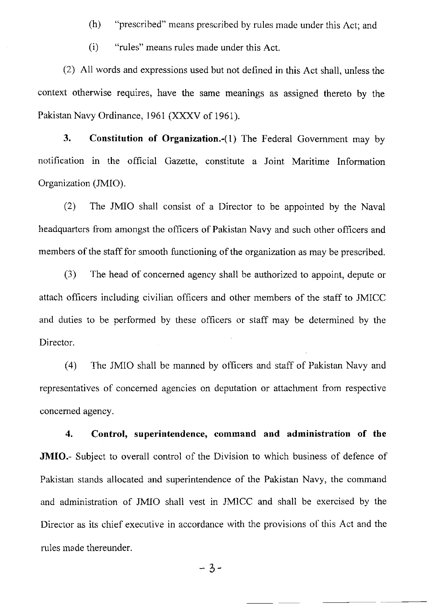- (h) "prescribed" means prescribed by rules madc under this Act; and
- (i) "rules" means rules made under this Act.

(2) All words and expressions used but not defined in this Act shall, unless the context otherwise requires, have the same meanings as assigned thereto by the Pakistan Navy Ordinance, 1961 (XXXV of 1961).

3. Constitution of Organization.-(l) The Federal Govemment may by notification in the official Gazette, constitute a Joint Maritime Information Organization (JMIO).

(2) The JMIO shall consist of a Director to be appointed by the Naval headquarters from amongst the officers of Pakistan Navy and such other officers and members of the staff for smooth functioning of the organization as may be prescribed.

(3) The head of concemed agency shall be authorized to appoint, depute or attach officers including civilian officers and other members of the staff to JMICC and duties to be performed by these officers or staff may be determined by the Director

(4) The JMIO shall be manned by officers and staff of Pakistan Navy and representatives of concemed agencies on deputation or attachment from respective concemed agency.

4. Control, superintendence, command and administration of the JMIO.- Subject to overall control of the Division to which business of defence of Pakistan stands allocated and superintendence of the Pakistan Navy, the command and administration of JMIO shall vest in JMICC and shall be exercised by the Director as its chief executive in accordance with the provisions of this Act and the rules made thereunder.

 $-3-$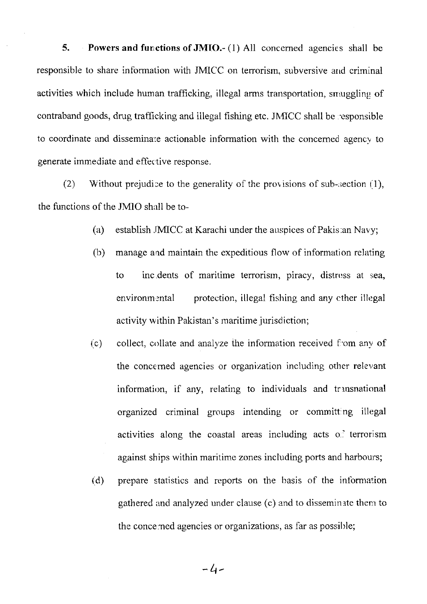5. Powers and functions of JMIO.-  $(1)$  All concerned agencies shall be responsible to share information with JMICC on terrorism, subversive and criminal activities which include human trafficking, illegal arms transportation, smuggling of contraband goods, drug trafficking and iilegat fishing etc. JN4ICC shall be 'esponsible to coordinate and disseminate actionable information with the concerned agency to generate immediate and effective response.

(2) Without prejudice to the generality of the provisions of sub-section  $(1)$ , the functions of the JMIO shall be to-

- (a) establish .IMICC at Karachi under the auspices of Pakis.an Navy;
- (b) manage and maintain the expeditious flow of information relating to inc. dents of maritime terrorism, piracy, distress at sea, environmental protection, illegal fishing and any cther illegal activity within Pakistan's maritime jurisdiction;
- (.c) collect, collate and analyze the information received f'om any of the concerned agencies or organization including other relevant information, if any, relating to individuals and transnational organized criminal groups intending or committ:ng illegal activities along the coastal areas including acts of terrorism against ships within maritime zones including ports and harbours;
- (d) prepare statistics and reports on the basis of the information gathered and analyzed under clause (c) and to disseminate them to the concerned agencies or organizations, as far as possible;

 $-4-$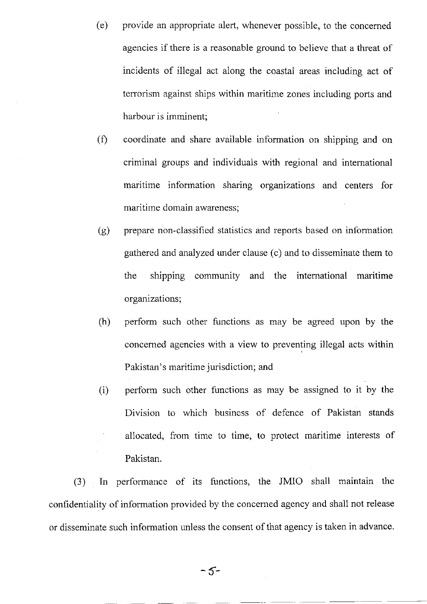- (e) provide an appropriate aleft, whenever possible, to the concerned agencies if there is a reasonable ground to believe that a threat of incidents of illegal act along the coastal areas including act of terrorism against ships within maritime zones including ports and harbour is imminent;
- (f) coordinate and share available information on shipping and on criminal groups and individuals with regional and international maritime information sharing organizations and centers for maritime domain awareness;
- (g) prepare non-classified statistics and reports based on information gathered and analyzed under clause (c) and to disseminate them to the shipping community and the intemational maritime organizations;
- (h) perform such other functions as may be agreed upon by the concerned agencies with a view to preventing illegal acts within Pakistan's maritime jurisdiction; and
- (i) perform such other functions as may be assigned to it by the Division to which business of defence of Pakistan stands allocated, from time to time, to protect maritime interests of Pakistan.

(3) In performance of its functions, the JMIO shall maintain the confidentiality of information provided by the concerned agency and shall not release or disseminate such information nnless the consent of that agency is tahen in advance.

-5-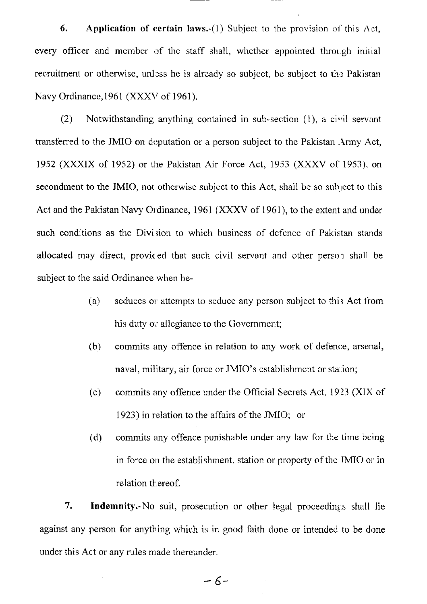6. Application of certain laws.-(1) Subject to the provision of this  $\Lambda$ ct, every officer and member of the staff shall, whether appointed through initial recruitment or otherwise, unless he is already so subject, be subject to the Pakistan Navy Ordinance, 1961 (XXXV of 1961).

 $(2)$  Notwithstanding anything contained in sub-section  $(1)$ , a civil servant transferred to the JMIO on deputation or a person subject to the Pakistan. Army Act, 1952 (XXXIX of 1952) or the Pakistan Air Force Act, 1953 (XXXV of 1953), on secondment to the JMIO, not otherwise subject to this Act, shall be so subject to this Act and the Pakistan Navy Ordinance, 1961 (XXXV of 1961), to the extent and under such conditions as the Division to which business of defence of Pakistan stands allocated may direct, provided that such civil servant and other person shall be subject to the said Ordinance when he-

- (a) seduces or attempts to seduce any person subject to this Act from his duty or allegiance to the Government;
- (b) commits any offence in relation to any work of defence, arsenal, naval, military, air force or JMIO's establishment or station;
- (c) commits Erny offence under the Official Secrets Act, 19 23 (XIX of 1923) in relation to the affairs of the JMIO; or
- (d) commits any offence punishable under any law'for the time being in force on the establishment, station or property of the JMIO or in relation th ereof.

7. Indemnity.-No suit, prosecution or other legal proceedings shall lie against any person for anything which is in good faith done or intended to be done under this Act or any rules made thereunder.

 $-6-$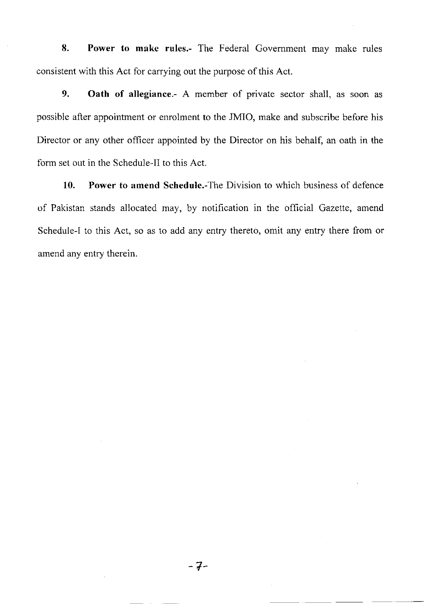8. Power to make rules.- The Federal Government may make rules consistent with this Act for carrying out the purpose of this Act.

9. Oath of allegiance.- A member of private sector shall, as soon as possible after appointment or enrolment to the JMIO, make and subscribe before his Director or any other officer appointed by the Director on his behalf, an oath in the form set out in the Schedule-Il to this Act

10. Power to amend Schedule.-The Division to which business of defence of Pakistan stands allocated may, by notification in the official Gazette, amend Schedule-l to this Act, so as to add any entry thereto, omit any entry there from or amend any entry therein.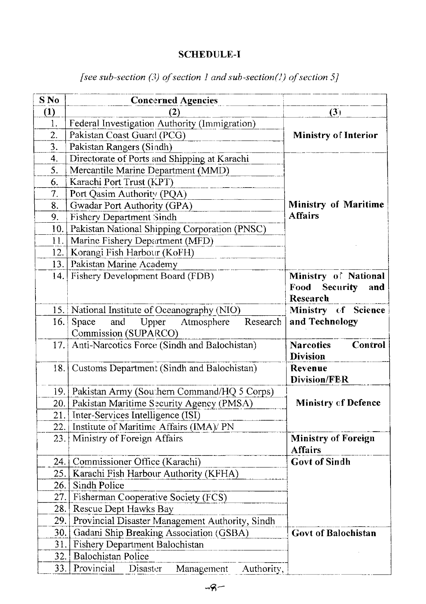# **SCHEDULE-I**

| [see sub-section (3) of section 1 and sub-section(1) of section 5] |  |  |  |
|--------------------------------------------------------------------|--|--|--|
|--------------------------------------------------------------------|--|--|--|

| S No | <b>Concerned Agencies</b>                                            |                                                          |
|------|----------------------------------------------------------------------|----------------------------------------------------------|
| (1)  |                                                                      | (3)                                                      |
| 1.   | Federal Investigation Authority (Immigration)                        |                                                          |
| 2.   | Pakistan Coast Guard (PCG)                                           | <b>Ministry of Interior</b>                              |
| 3.   | Pakistan Rangers (Sindh)                                             |                                                          |
| 4.   | Directorate of Ports and Shipping at Karachi                         |                                                          |
| 5.   | Mercantile Marine Department (MMD)                                   |                                                          |
| 6.   | Karachi Port Trust (KPT)                                             |                                                          |
| 7.   | Port Qasim Authority (PQA)                                           |                                                          |
| 8.   | Gwadar Port Authority (GPA)                                          | <b>Ministry of Maritime</b>                              |
| 9.   | <b>Fishery Department Sindh</b>                                      | <b>Affairs</b>                                           |
| 10.  | Pakistan National Shipping Corporation (PNSC)                        |                                                          |
| 11.  | Marine Fishery Department (MFD)                                      |                                                          |
| 12.  | Korangi Fish Harbour (KoFH)                                          |                                                          |
| 13.1 | Pakistan Marine Academy                                              |                                                          |
|      | 14. Fishery Development Board (FDB)                                  | Ministry of National<br>Food Security<br>and<br>Research |
|      | 15. National Institute of Oceanography (NIO)                         | Ministry of Science                                      |
| 16.1 | and Upper<br>Research<br>Space<br>Atmosphere<br>Commission (SUPARCO) | and Technology                                           |
|      | 17. Anti-Narcotics Force (Sindh and Balochistan)                     | <b>Narcotics</b><br>Control<br><b>Division</b>           |
| 18.1 | Customs Department (Sindh and Balochistan)                           | Revenue<br><b>Division/FER</b>                           |
|      | 19. Pakistan Army (Southern Command/HQ 5 Corps)                      |                                                          |
|      | 20. Pakistan Maritime Security Agency (PMSA)                         | <b>Ministry of Defence</b>                               |
| 21.  | Inter-Services Intelligence (ISI)                                    |                                                          |
| 22.  | Institute of Maritime Affairs (IMA)/ PN                              |                                                          |
| 23.  | Ministry of Foreign Affairs                                          | <b>Ministry of Foreign</b><br><b>Affairs</b>             |
| 24.  | Commissioner Office (Karachi)                                        | <b>Govt of Sindh</b>                                     |
| 25.  | Karachi Fish Harbour Authority (KFHA)                                |                                                          |
| 26.  | Sindh Police                                                         |                                                          |
| 27.  | Fisherman Cooperative Society (FCS)                                  |                                                          |
| 28.  | Rescue Dept Hawks Bay                                                |                                                          |
| 29.  | Provincial Disaster Management Authority, Sindh                      |                                                          |
| 30.  | Gadani Ship Breaking Association (GSBA)                              | <b>Govt of Balochistan</b>                               |
| 31.  | Fishery Department Balochistan                                       |                                                          |
| 32.  | <b>Balochistan Police</b>                                            |                                                          |
| 33.  | Provincial<br>Disaster<br>Management<br>Authority,                   |                                                          |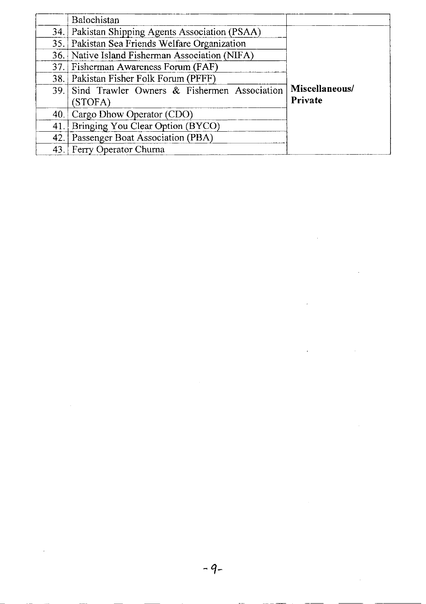|     | Balochistan                                                |                           |
|-----|------------------------------------------------------------|---------------------------|
|     | 34. Pakistan Shipping Agents Association (PSAA)            | Miscellaneous/<br>Private |
| 35. | Pakistan Sea Friends Welfare Organization                  |                           |
|     | 36. Native Island Fisherman Association (NIFA)             |                           |
|     | 37. Fisherman Awareness Forum (FAF)                        |                           |
|     | 38. Pakistan Fisher Folk Forum (PFFF)                      |                           |
|     | 39. Sind Trawler Owners & Fishermen Association<br>(STOFA) |                           |
| 40. | Cargo Dhow Operator (CDO)                                  |                           |
| 41. | Bringing You Clear Option (BYCO)                           |                           |
| 42. | Passenger Boat Association (PBA)                           |                           |
| 43. | Ferry Operator Churna                                      |                           |

 $\label{eq:2.1} \frac{1}{\sqrt{2}}\int_{0}^{\infty}\frac{1}{\sqrt{2\pi}}\left(\frac{1}{\sqrt{2\pi}}\right)^{2\alpha} \frac{1}{\sqrt{2\pi}}\int_{0}^{\infty}\frac{1}{\sqrt{2\pi}}\left(\frac{1}{\sqrt{2\pi}}\right)^{\alpha} \frac{1}{\sqrt{2\pi}}\frac{1}{\sqrt{2\pi}}\int_{0}^{\infty}\frac{1}{\sqrt{2\pi}}\frac{1}{\sqrt{2\pi}}\frac{1}{\sqrt{2\pi}}\frac{1}{\sqrt{2\pi}}\frac{1}{\sqrt{2\pi}}\frac{1}{\sqrt{2\pi}}$ 

 $\label{eq:2.1} \frac{1}{\sqrt{2}}\int_{\mathbb{R}^3}\frac{1}{\sqrt{2}}\left(\frac{1}{\sqrt{2}}\right)^2\frac{1}{\sqrt{2}}\left(\frac{1}{\sqrt{2}}\right)^2\frac{1}{\sqrt{2}}\left(\frac{1}{\sqrt{2}}\right)^2.$ 

 $\label{eq:2.1} \frac{1}{\sqrt{2}}\int_{0}^{\infty}\frac{1}{\sqrt{2\pi}}\left(\frac{1}{\sqrt{2\pi}}\right)^{2\alpha} \frac{1}{\sqrt{2\pi}}\int_{0}^{\infty}\frac{1}{\sqrt{2\pi}}\left(\frac{1}{\sqrt{2\pi}}\right)^{\alpha} \frac{1}{\sqrt{2\pi}}\frac{1}{\sqrt{2\pi}}\int_{0}^{\infty}\frac{1}{\sqrt{2\pi}}\frac{1}{\sqrt{2\pi}}\frac{1}{\sqrt{2\pi}}\frac{1}{\sqrt{2\pi}}\frac{1}{\sqrt{2\pi}}\frac{1}{\sqrt{2\pi}}$ 

 $\mathcal{L}(\mathcal{A})$  .

 $\label{eq:2.1} \frac{1}{\sqrt{2}}\left(\frac{1}{\sqrt{2}}\right)^{2} \left(\frac{1}{\sqrt{2}}\right)^{2} \left(\frac{1}{\sqrt{2}}\right)^{2} \left(\frac{1}{\sqrt{2}}\right)^{2} \left(\frac{1}{\sqrt{2}}\right)^{2} \left(\frac{1}{\sqrt{2}}\right)^{2} \left(\frac{1}{\sqrt{2}}\right)^{2} \left(\frac{1}{\sqrt{2}}\right)^{2} \left(\frac{1}{\sqrt{2}}\right)^{2} \left(\frac{1}{\sqrt{2}}\right)^{2} \left(\frac{1}{\sqrt{2}}\right)^{2} \left(\$ 

 $\mathcal{L}(\mathcal{A})$  and  $\mathcal{L}(\mathcal{A})$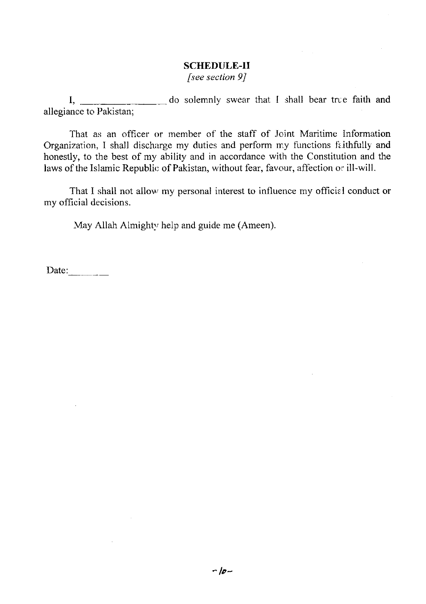## SCHEDULE-II

[see section  $9$ ]

do solemnly swear that I shall bear true faith and allegiance to Pakistan; I,

That as an officer or member of the staff of Joint Maritime Information Organization, I shall discharge my duties and perform my functions faithfully and honestly, to the best of my ability and in accordance with the Constitution and the laws of the Islamic Republic of Pakistan, without fear, favour, affection or ill-will.

That I shall not allow my personal interest to influence my official conduct or my official decisions.

May Allah Almighty help and guide me (Ameen).

Date: